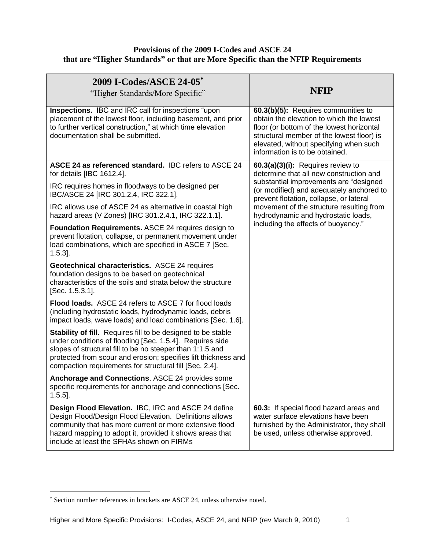## **Provisions of the 2009 I-Codes and ASCE 24 that are "Higher Standards" or that are More Specific than the NFIP Requirements**

| 2009 I-Codes/ASCE 24-05*<br>"Higher Standards/More Specific"                                                                                                                                                                                                                                                              | <b>NFIP</b>                                                                                                                                                                                                                                             |
|---------------------------------------------------------------------------------------------------------------------------------------------------------------------------------------------------------------------------------------------------------------------------------------------------------------------------|---------------------------------------------------------------------------------------------------------------------------------------------------------------------------------------------------------------------------------------------------------|
| Inspections. IBC and IRC call for inspections "upon<br>placement of the lowest floor, including basement, and prior<br>to further vertical construction," at which time elevation<br>documentation shall be submitted.                                                                                                    | 60.3(b)(5): Requires communities to<br>obtain the elevation to which the lowest<br>floor (or bottom of the lowest horizontal<br>structural member of the lowest floor) is<br>elevated, without specifying when such<br>information is to be obtained.   |
| ASCE 24 as referenced standard. IBC refers to ASCE 24<br>for details [IBC 1612.4].                                                                                                                                                                                                                                        | 60.3(a)(3)(i): Requires review to<br>determine that all new construction and                                                                                                                                                                            |
| IRC requires homes in floodways to be designed per<br>IBC/ASCE 24 [IRC 301.2.4, IRC 322.1].                                                                                                                                                                                                                               | substantial improvements are "designed<br>(or modified) and adequately anchored to<br>prevent flotation, collapse, or lateral<br>movement of the structure resulting from<br>hydrodynamic and hydrostatic loads,<br>including the effects of buoyancy." |
| IRC allows use of ASCE 24 as alternative in coastal high<br>hazard areas (V Zones) [IRC 301.2.4.1, IRC 322.1.1].                                                                                                                                                                                                          |                                                                                                                                                                                                                                                         |
| <b>Foundation Requirements. ASCE 24 requires design to</b><br>prevent flotation, collapse, or permanent movement under<br>load combinations, which are specified in ASCE 7 [Sec.<br>$1.5.3$ ].                                                                                                                            |                                                                                                                                                                                                                                                         |
| Geotechnical characteristics. ASCE 24 requires<br>foundation designs to be based on geotechnical<br>characteristics of the soils and strata below the structure<br>[Sec. 1.5.3.1].                                                                                                                                        |                                                                                                                                                                                                                                                         |
| Flood loads. ASCE 24 refers to ASCE 7 for flood loads<br>(including hydrostatic loads, hydrodynamic loads, debris<br>impact loads, wave loads) and load combinations [Sec. 1.6].                                                                                                                                          |                                                                                                                                                                                                                                                         |
| <b>Stability of fill.</b> Requires fill to be designed to be stable<br>under conditions of flooding [Sec. 1.5.4]. Requires side<br>slopes of structural fill to be no steeper than 1:1.5 and<br>protected from scour and erosion; specifies lift thickness and<br>compaction requirements for structural fill [Sec. 2.4]. |                                                                                                                                                                                                                                                         |
| Anchorage and Connections. ASCE 24 provides some<br>specific requirements for anchorage and connections [Sec.<br>$1.5.5$ ].                                                                                                                                                                                               |                                                                                                                                                                                                                                                         |
| Design Flood Elevation. IBC, IRC and ASCE 24 define<br>Design Flood/Design Flood Elevation. Definitions allows<br>community that has more current or more extensive flood<br>hazard mapping to adopt it, provided it shows areas that<br>include at least the SFHAs shown on FIRMs                                        | 60.3: If special flood hazard areas and<br>water surface elevations have been<br>furnished by the Administrator, they shall<br>be used, unless otherwise approved.                                                                                      |

 $\overline{a}$ 

Section number references in brackets are ASCE 24, unless otherwise noted.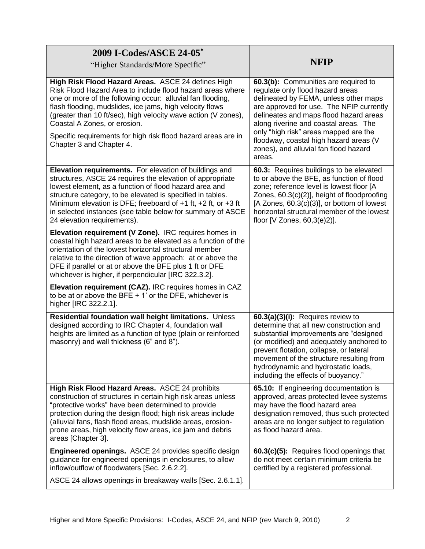| 2009 I-Codes/ASCE 24-05*<br>"Higher Standards/More Specific"                                                                                                                                                                                                                                                                                                                                                                              | <b>NFIP</b>                                                                                                                                                                                                                                                                                                                             |
|-------------------------------------------------------------------------------------------------------------------------------------------------------------------------------------------------------------------------------------------------------------------------------------------------------------------------------------------------------------------------------------------------------------------------------------------|-----------------------------------------------------------------------------------------------------------------------------------------------------------------------------------------------------------------------------------------------------------------------------------------------------------------------------------------|
| High Risk Flood Hazard Areas. ASCE 24 defines High<br>Risk Flood Hazard Area to include flood hazard areas where<br>one or more of the following occur: alluvial fan flooding,<br>flash flooding, mudslides, ice jams, high velocity flows<br>(greater than 10 ft/sec), high velocity wave action (V zones),<br>Coastal A Zones, or erosion.<br>Specific requirements for high risk flood hazard areas are in<br>Chapter 3 and Chapter 4. | 60.3(b): Communities are required to<br>regulate only flood hazard areas<br>delineated by FEMA, unless other maps<br>are approved for use. The NFIP currently<br>delineates and maps flood hazard areas<br>along riverine and coastal areas. The<br>only "high risk" areas mapped are the<br>floodway, coastal high hazard areas (V     |
|                                                                                                                                                                                                                                                                                                                                                                                                                                           | zones), and alluvial fan flood hazard<br>areas.                                                                                                                                                                                                                                                                                         |
| Elevation requirements. For elevation of buildings and<br>structures, ASCE 24 requires the elevation of appropriate<br>lowest element, as a function of flood hazard area and<br>structure category, to be elevated is specified in tables.<br>Minimum elevation is DFE; freeboard of $+1$ ft, $+2$ ft, or $+3$ ft<br>in selected instances (see table below for summary of ASCE<br>24 elevation requirements).                           | 60.3: Requires buildings to be elevated<br>to or above the BFE, as function of flood<br>zone; reference level is lowest floor [A<br>Zones, 60.3(c)(2)], height of floodproofing<br>[A Zones, $60.3(c)(3)$ ], or bottom of lowest<br>horizontal structural member of the lowest<br>floor [V Zones, 60,3(e)2)].                           |
| Elevation requirement (V Zone). IRC requires homes in<br>coastal high hazard areas to be elevated as a function of the<br>orientation of the lowest horizontal structural member<br>relative to the direction of wave approach: at or above the<br>DFE if parallel or at or above the BFE plus 1 ft or DFE<br>whichever is higher, if perpendicular [IRC 322.3.2].                                                                        |                                                                                                                                                                                                                                                                                                                                         |
| Elevation requirement (CAZ). IRC requires homes in CAZ<br>to be at or above the BFE $+$ 1' or the DFE, whichever is<br>higher [IRC 322.2.1].                                                                                                                                                                                                                                                                                              |                                                                                                                                                                                                                                                                                                                                         |
| Residential foundation wall height limitations. Unless<br>designed according to IRC Chapter 4, foundation wall<br>heights are limited as a function of type (plain or reinforced<br>masonry) and wall thickness (6" and 8").                                                                                                                                                                                                              | 60.3(a)(3)(i): Requires review to<br>determine that all new construction and<br>substantial improvements are "designed<br>(or modified) and adequately anchored to<br>prevent flotation, collapse, or lateral<br>movement of the structure resulting from<br>hydrodynamic and hydrostatic loads,<br>including the effects of buoyancy." |
| High Risk Flood Hazard Areas. ASCE 24 prohibits<br>construction of structures in certain high risk areas unless<br>"protective works" have been determined to provide<br>protection during the design flood; high risk areas include<br>(alluvial fans, flash flood areas, mudslide areas, erosion-<br>prone areas, high velocity flow areas, ice jam and debris<br>areas [Chapter 3].                                                    | 65.10: If engineering documentation is<br>approved, areas protected levee systems<br>may have the flood hazard area<br>designation removed, thus such protected<br>areas are no longer subject to regulation<br>as flood hazard area.                                                                                                   |
| Engineered openings. ASCE 24 provides specific design<br>guidance for engineered openings in enclosures, to allow<br>inflow/outflow of floodwaters [Sec. 2.6.2.2].                                                                                                                                                                                                                                                                        | 60.3(c)(5): Requires flood openings that<br>do not meet certain minimum criteria be<br>certified by a registered professional.                                                                                                                                                                                                          |
| ASCE 24 allows openings in breakaway walls [Sec. 2.6.1.1].                                                                                                                                                                                                                                                                                                                                                                                |                                                                                                                                                                                                                                                                                                                                         |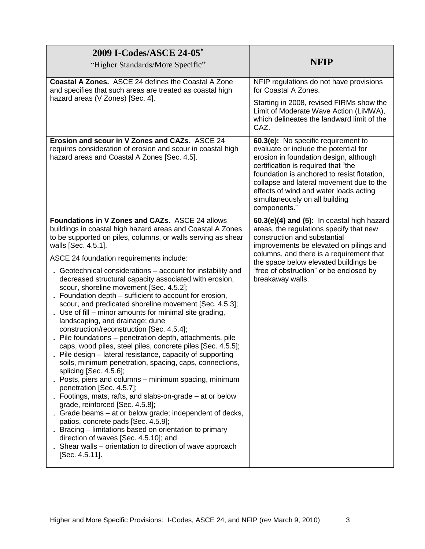| 2009 I-Codes/ASCE 24-05*<br>"Higher Standards/More Specific"                                                                                                                                                                                                                                                                                                                                                                                                                                                                                                                                                                                                                                                                                                                                                                                                                                                                                                                                                                                                                                                                                                                                                                                                                                                                                                                                                                | <b>NFIP</b>                                                                                                                                                                                                                                                                                                                                          |
|-----------------------------------------------------------------------------------------------------------------------------------------------------------------------------------------------------------------------------------------------------------------------------------------------------------------------------------------------------------------------------------------------------------------------------------------------------------------------------------------------------------------------------------------------------------------------------------------------------------------------------------------------------------------------------------------------------------------------------------------------------------------------------------------------------------------------------------------------------------------------------------------------------------------------------------------------------------------------------------------------------------------------------------------------------------------------------------------------------------------------------------------------------------------------------------------------------------------------------------------------------------------------------------------------------------------------------------------------------------------------------------------------------------------------------|------------------------------------------------------------------------------------------------------------------------------------------------------------------------------------------------------------------------------------------------------------------------------------------------------------------------------------------------------|
| <b>Coastal A Zones.</b> ASCE 24 defines the Coastal A Zone<br>and specifies that such areas are treated as coastal high<br>hazard areas (V Zones) [Sec. 4].                                                                                                                                                                                                                                                                                                                                                                                                                                                                                                                                                                                                                                                                                                                                                                                                                                                                                                                                                                                                                                                                                                                                                                                                                                                                 | NFIP regulations do not have provisions<br>for Coastal A Zones.<br>Starting in 2008, revised FIRMs show the<br>Limit of Moderate Wave Action (LiMWA),<br>which delineates the landward limit of the<br>CAZ.                                                                                                                                          |
| Erosion and scour in V Zones and CAZs. ASCE 24<br>requires consideration of erosion and scour in coastal high<br>hazard areas and Coastal A Zones [Sec. 4.5].                                                                                                                                                                                                                                                                                                                                                                                                                                                                                                                                                                                                                                                                                                                                                                                                                                                                                                                                                                                                                                                                                                                                                                                                                                                               | 60.3(e): No specific requirement to<br>evaluate or include the potential for<br>erosion in foundation design, although<br>certification is required that "the<br>foundation is anchored to resist flotation,<br>collapse and lateral movement due to the<br>effects of wind and water loads acting<br>simultaneously on all building<br>components." |
| Foundations in V Zones and CAZs. ASCE 24 allows<br>buildings in coastal high hazard areas and Coastal A Zones<br>to be supported on piles, columns, or walls serving as shear<br>walls [Sec. 4.5.1].<br>ASCE 24 foundation requirements include:<br>Geotechnical considerations – account for instability and<br>decreased structural capacity associated with erosion,<br>scour, shoreline movement [Sec. 4.5.2];<br>Foundation depth – sufficient to account for erosion,<br>scour, and predicated shoreline movement [Sec. 4.5.3];<br>Use of fill – minor amounts for minimal site grading,<br>landscaping, and drainage; dune<br>construction/reconstruction [Sec. 4.5.4];<br>Pile foundations - penetration depth, attachments, pile<br>caps, wood piles, steel piles, concrete piles [Sec. 4.5.5];<br>Pile design – lateral resistance, capacity of supporting<br>soils, minimum penetration, spacing, caps, connections,<br>splicing [Sec. 4.5.6];<br>Posts, piers and columns - minimum spacing, minimum<br>penetration [Sec. 4.5.7];<br>Footings, mats, rafts, and slabs-on-grade – at or below<br>grade, reinforced [Sec. 4.5.8];<br>Grade beams - at or below grade; independent of decks,<br>patios, concrete pads [Sec. 4.5.9];<br>Bracing – limitations based on orientation to primary<br>direction of waves [Sec. 4.5.10]; and<br>Shear walls – orientation to direction of wave approach<br>[Sec. 4.5.11]. | 60.3(e)(4) and (5): In coastal high hazard<br>areas, the regulations specify that new<br>construction and substantial<br>improvements be elevated on pilings and<br>columns, and there is a requirement that<br>the space below elevated buildings be<br>"free of obstruction" or be enclosed by<br>breakaway walls.                                 |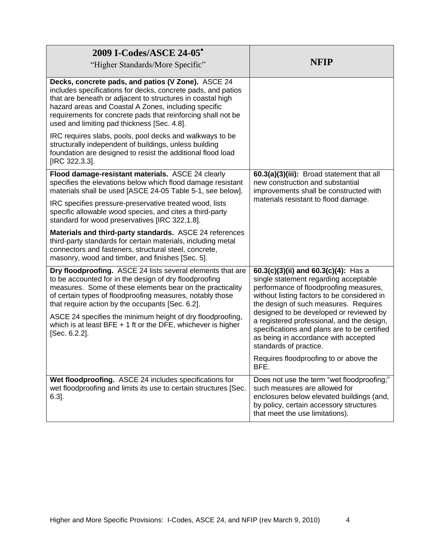| 2009 I-Codes/ASCE 24-05*<br>"Higher Standards/More Specific"                                                                                                                                                                                                                                                                                            | NFIP                                                                                                                                                                                                            |
|---------------------------------------------------------------------------------------------------------------------------------------------------------------------------------------------------------------------------------------------------------------------------------------------------------------------------------------------------------|-----------------------------------------------------------------------------------------------------------------------------------------------------------------------------------------------------------------|
| Decks, concrete pads, and patios (V Zone). ASCE 24<br>includes specifications for decks, concrete pads, and patios<br>that are beneath or adjacent to structures in coastal high<br>hazard areas and Coastal A Zones, including specific<br>requirements for concrete pads that reinforcing shall not be<br>used and limiting pad thickness [Sec. 4.8]. |                                                                                                                                                                                                                 |
| IRC requires slabs, pools, pool decks and walkways to be<br>structurally independent of buildings, unless building<br>foundation are designed to resist the additional flood load<br>[IRC 322.3.3].                                                                                                                                                     |                                                                                                                                                                                                                 |
| Flood damage-resistant materials. ASCE 24 clearly<br>specifies the elevations below which flood damage resistant<br>materials shall be used [ASCE 24-05 Table 5-1, see below].                                                                                                                                                                          | 60.3(a)(3)(iii): Broad statement that all<br>new construction and substantial<br>improvements shall be constructed with<br>materials resistant to flood damage.                                                 |
| IRC specifies pressure-preservative treated wood, lists<br>specific allowable wood species, and cites a third-party<br>standard for wood preservatives [IRC 322.1.8].                                                                                                                                                                                   |                                                                                                                                                                                                                 |
| Materials and third-party standards. ASCE 24 references<br>third-party standards for certain materials, including metal<br>connectors and fasteners, structural steel, concrete,<br>masonry, wood and timber, and finishes [Sec. 5].                                                                                                                    |                                                                                                                                                                                                                 |
| Dry floodproofing. ASCE 24 lists several elements that are<br>to be accounted for in the design of dry floodproofing<br>measures. Some of these elements bear on the practicality<br>of certain types of floodproofing measures, notably those<br>that require action by the occupants [Sec. 6.2].                                                      | 60.3(c)(3)(ii) and 60.3(c)(4): Has a<br>single statement regarding acceptable<br>performance of floodproofing measures,<br>without listing factors to be considered in<br>the design of such measures. Requires |
| ASCE 24 specifies the minimum height of dry floodproofing,<br>which is at least BFE $+$ 1 ft or the DFE, whichever is higher<br>[Sec. 6.2.2].                                                                                                                                                                                                           | designed to be developed or reviewed by<br>a registered professional, and the design,<br>specifications and plans are to be certified<br>as being in accordance with accepted<br>standards of practice.         |
|                                                                                                                                                                                                                                                                                                                                                         | Requires floodproofing to or above the<br>BFE.                                                                                                                                                                  |
| Wet floodproofing. ASCE 24 includes specifications for<br>wet floodproofing and limits its use to certain structures [Sec.<br>$6.3$ ].                                                                                                                                                                                                                  | Does not use the term "wet floodproofing;"<br>such measures are allowed for<br>enclosures below elevated buildings (and,<br>by policy, certain accessory structures<br>that meet the use limitations).          |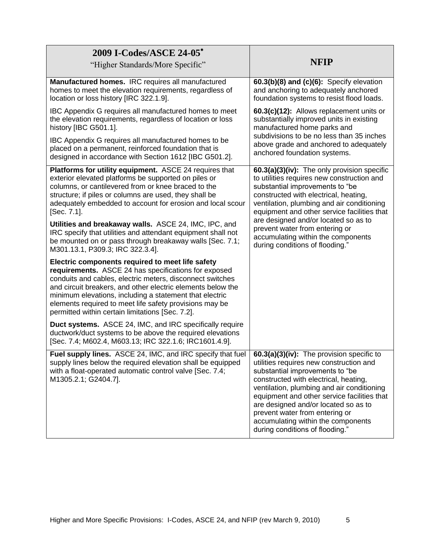| 2009 I-Codes/ASCE 24-05*<br>"Higher Standards/More Specific"                                                                                                                                                                                                                                                                                                                                                   | <b>NFIP</b>                                                                                                                                                                                                                                                                                                                                                                                                           |
|----------------------------------------------------------------------------------------------------------------------------------------------------------------------------------------------------------------------------------------------------------------------------------------------------------------------------------------------------------------------------------------------------------------|-----------------------------------------------------------------------------------------------------------------------------------------------------------------------------------------------------------------------------------------------------------------------------------------------------------------------------------------------------------------------------------------------------------------------|
| Manufactured homes. IRC requires all manufactured<br>homes to meet the elevation requirements, regardless of<br>location or loss history [IRC 322.1.9].                                                                                                                                                                                                                                                        | 60.3(b)(8) and (c)(6): Specify elevation<br>and anchoring to adequately anchored<br>foundation systems to resist flood loads.                                                                                                                                                                                                                                                                                         |
| IBC Appendix G requires all manufactured homes to meet<br>the elevation requirements, regardless of location or loss<br>history [IBC G501.1].                                                                                                                                                                                                                                                                  | 60.3(c)(12): Allows replacement units or<br>substantially improved units in existing<br>manufactured home parks and<br>subdivisions to be no less than 35 inches<br>above grade and anchored to adequately<br>anchored foundation systems.                                                                                                                                                                            |
| IBC Appendix G requires all manufactured homes to be<br>placed on a permanent, reinforced foundation that is<br>designed in accordance with Section 1612 [IBC G501.2].                                                                                                                                                                                                                                         |                                                                                                                                                                                                                                                                                                                                                                                                                       |
| Platforms for utility equipment. ASCE 24 requires that<br>exterior elevated platforms be supported on piles or<br>columns, or cantilevered from or knee braced to the<br>structure; if piles or columns are used, they shall be<br>adequately embedded to account for erosion and local scour<br>[Sec. 7.1].                                                                                                   | 60.3(a)(3)(iv): The only provision specific<br>to utilities requires new construction and<br>substantial improvements to "be<br>constructed with electrical, heating,<br>ventilation, plumbing and air conditioning<br>equipment and other service facilities that<br>are designed and/or located so as to<br>prevent water from entering or<br>accumulating within the components<br>during conditions of flooding." |
| Utilities and breakaway walls. ASCE 24, IMC, IPC, and<br>IRC specify that utilities and attendant equipment shall not<br>be mounted on or pass through breakaway walls [Sec. 7.1;<br>M301.13.1, P309.3; IRC 322.3.4].                                                                                                                                                                                          |                                                                                                                                                                                                                                                                                                                                                                                                                       |
| Electric components required to meet life safety<br>requirements. ASCE 24 has specifications for exposed<br>conduits and cables, electric meters, disconnect switches<br>and circuit breakers, and other electric elements below the<br>minimum elevations, including a statement that electric<br>elements required to meet life safety provisions may be<br>permitted within certain limitations [Sec. 7.2]. |                                                                                                                                                                                                                                                                                                                                                                                                                       |
| Duct systems. ASCE 24, IMC, and IRC specifically require<br>ductwork/duct systems to be above the required elevations<br>[Sec. 7.4; M602.4, M603.13; IRC 322.1.6; IRC1601.4.9].                                                                                                                                                                                                                                |                                                                                                                                                                                                                                                                                                                                                                                                                       |
| Fuel supply lines. ASCE 24, IMC, and IRC specify that fuel<br>supply lines below the required elevation shall be equipped<br>with a float-operated automatic control valve [Sec. 7.4;<br>M1305.2.1; G2404.7].                                                                                                                                                                                                  | 60.3(a)(3)(iv): The provision specific to<br>utilities requires new construction and<br>substantial improvements to "be<br>constructed with electrical, heating,<br>ventilation, plumbing and air conditioning<br>equipment and other service facilities that<br>are designed and/or located so as to<br>prevent water from entering or<br>accumulating within the components<br>during conditions of flooding."      |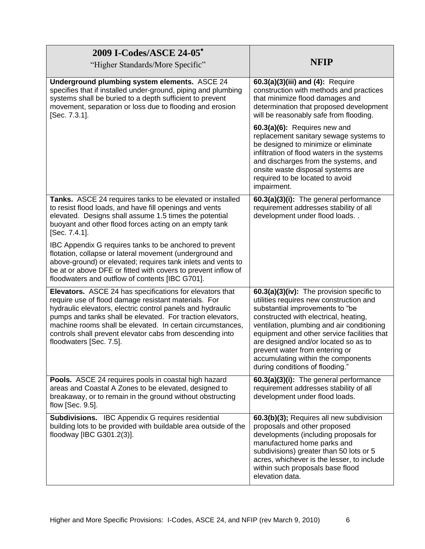| 2009 I-Codes/ASCE 24-05*<br>"Higher Standards/More Specific"                                                                                                                                                                                                                                                                                                                                              | <b>NFIP</b>                                                                                                                                                                                                                                                                                                                                                                                                      |
|-----------------------------------------------------------------------------------------------------------------------------------------------------------------------------------------------------------------------------------------------------------------------------------------------------------------------------------------------------------------------------------------------------------|------------------------------------------------------------------------------------------------------------------------------------------------------------------------------------------------------------------------------------------------------------------------------------------------------------------------------------------------------------------------------------------------------------------|
| Underground plumbing system elements. ASCE 24<br>specifies that if installed under-ground, piping and plumbing<br>systems shall be buried to a depth sufficient to prevent<br>movement, separation or loss due to flooding and erosion<br>[Sec. 7.3.1].                                                                                                                                                   | 60.3(a)(3)(iii) and (4): Require<br>construction with methods and practices<br>that minimize flood damages and<br>determination that proposed development<br>will be reasonably safe from flooding.                                                                                                                                                                                                              |
|                                                                                                                                                                                                                                                                                                                                                                                                           | 60.3(a)(6): Requires new and<br>replacement sanitary sewage systems to<br>be designed to minimize or eliminate<br>infiltration of flood waters in the systems<br>and discharges from the systems, and<br>onsite waste disposal systems are<br>required to be located to avoid<br>impairment.                                                                                                                     |
| Tanks. ASCE 24 requires tanks to be elevated or installed<br>to resist flood loads, and have fill openings and vents<br>elevated. Designs shall assume 1.5 times the potential<br>buoyant and other flood forces acting on an empty tank<br>[Sec. 7.4.1].                                                                                                                                                 | 60.3(a)(3)(i): The general performance<br>requirement addresses stability of all<br>development under flood loads                                                                                                                                                                                                                                                                                                |
| IBC Appendix G requires tanks to be anchored to prevent<br>flotation, collapse or lateral movement (underground and<br>above-ground) or elevated; requires tank inlets and vents to<br>be at or above DFE or fitted with covers to prevent inflow of<br>floodwaters and outflow of contents [IBC G701].                                                                                                   |                                                                                                                                                                                                                                                                                                                                                                                                                  |
| <b>Elevators.</b> ASCE 24 has specifications for elevators that<br>require use of flood damage resistant materials. For<br>hydraulic elevators, electric control panels and hydraulic<br>pumps and tanks shall be elevated. For traction elevators,<br>machine rooms shall be elevated. In certain circumstances,<br>controls shall prevent elevator cabs from descending into<br>floodwaters [Sec. 7.5]. | 60.3(a)(3)(iv): The provision specific to<br>utilities requires new construction and<br>substantial improvements to "be<br>constructed with electrical, heating,<br>ventilation, plumbing and air conditioning<br>equipment and other service facilities that<br>are designed and/or located so as to<br>prevent water from entering or<br>accumulating within the components<br>during conditions of flooding." |
| Pools. ASCE 24 requires pools in coastal high hazard<br>areas and Coastal A Zones to be elevated, designed to<br>breakaway, or to remain in the ground without obstructing<br>flow [Sec. 9.5].                                                                                                                                                                                                            | 60.3(a)(3)(i): The general performance<br>requirement addresses stability of all<br>development under flood loads.                                                                                                                                                                                                                                                                                               |
| <b>Subdivisions.</b> IBC Appendix G requires residential<br>building lots to be provided with buildable area outside of the<br>floodway [IBC G301.2(3)].                                                                                                                                                                                                                                                  | 60.3(b)(3); Requires all new subdivision<br>proposals and other proposed<br>developments (including proposals for<br>manufactured home parks and<br>subdivisions) greater than 50 lots or 5<br>acres, whichever is the lesser, to include<br>within such proposals base flood<br>elevation data.                                                                                                                 |